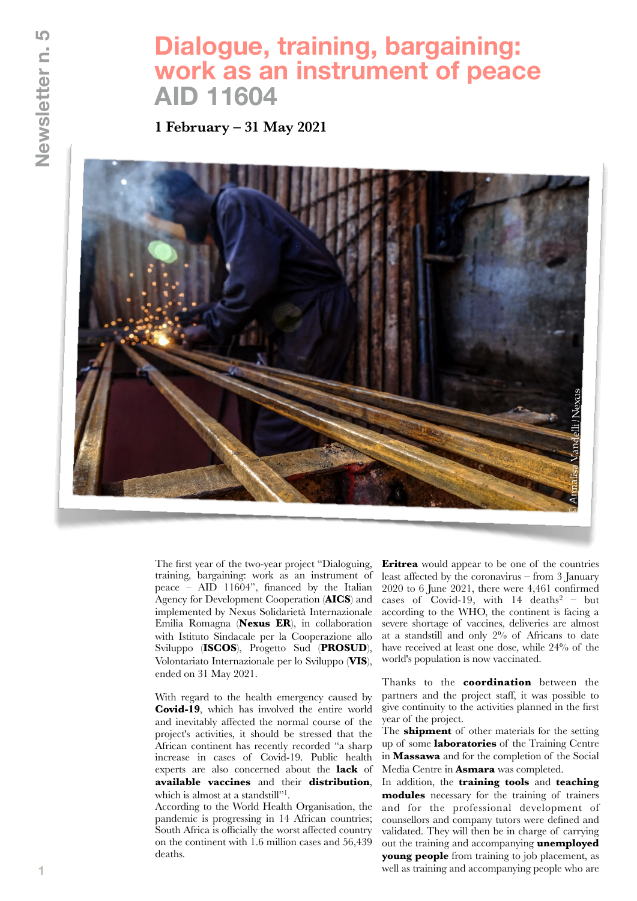## **Dialogue, training, bargaining: work as an instrument of peace AID 11604**

**1 February – 31 May 2021**



The first year of the two-year project "Dialoguing, training, bargaining: work as an instrument of peace – AID 11604", financed by the Italian Agency for Development Cooperation (**AICS**) and implemented by Nexus Solidarietà Internazionale Emilia Romagna (**Nexus ER**), in collaboration with Istituto Sindacale per la Cooperazione allo Sviluppo (**ISCOS**), Progetto Sud (**PROSUD**), Volontariato Internazionale per lo Sviluppo (**VIS**), ended on 31 May 2021.

With regard to the health emergency caused by **Covid-19**, which has involved the entire world and inevitably affected the normal course of the project's activities, it should be stressed that the African continent has recently recorded "a sharp increase in cases of Covid-19. Public health experts are also concerned about the **lack** of **available vaccines** and their **distribution**, which is almost at a standstill"<sup>1</sup>.

According to the World Health Organisation, the pandemic is progressing in 14 African countries; South Africa is officially the worst affected country on the continent with 1.6 million cases and 56,439 deaths.

**Eritrea** would appear to be one of the countries least affected by the coronavirus – from 3 January 2020 to 6 June 2021, there were 4,461 confirmed cases of Covid-19, with  $14$  deaths<sup>2</sup> – but according to the WHO, the continent is facing a severe shortage of vaccines, deliveries are almost at a standstill and only 2% of Africans to date have received at least one dose, while 24% of the world's population is now vaccinated.

Thanks to the **coordination** between the partners and the project staff, it was possible to give continuity to the activities planned in the first year of the project.

The **shipment** of other materials for the setting up of some **laboratories** of the Training Centre in **Massawa** and for the completion of the Social Media Centre in **Asmara** was completed.

In addition, the **training tools** and **teaching modules** necessary for the training of trainers and for the professional development of counsellors and company tutors were defined and validated. They will then be in charge of carrying out the training and accompanying **unemployed young people** from training to job placement, as well as training and accompanying people who are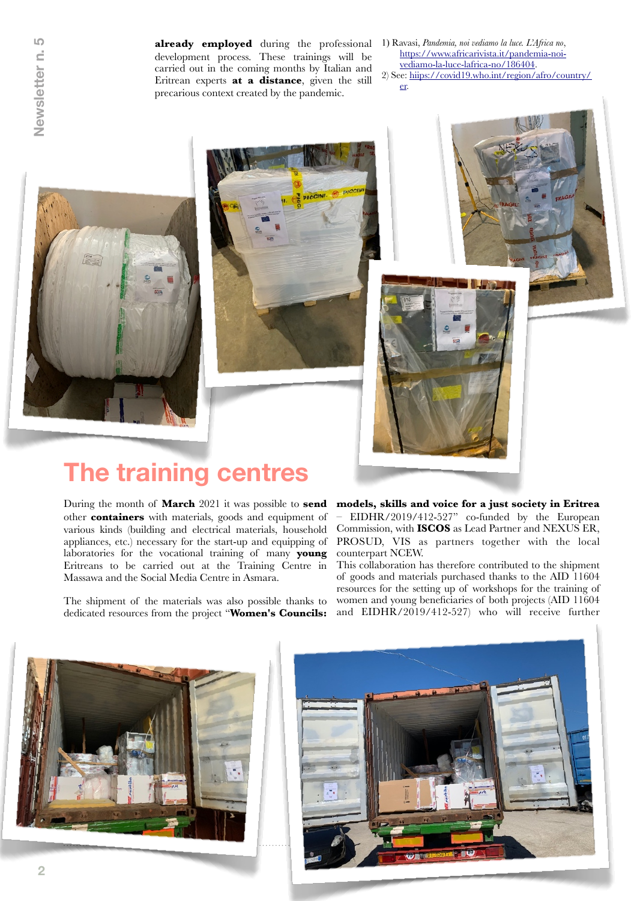LO Newsletter n.

**already employed** during the professional development process. These trainings will be carried out in the coming months by Italian and Eritrean experts **at a distance**, given the still precarious context created by the pandemic.

- 1) Ravasi, *Pandemia, noi vediamo la luce. L'Africa no*, https://www.africarivista.it/pandemia-noivediamo-la-luce-lafrica-no/186404. 2) See: hiips://covid19.who.int/region/afro/country/
	- er.







## **The training centres**

During the month of **March** 2021 it was possible to **send** other **containers** with materials, goods and equipment of various kinds (building and electrical materials, household appliances, etc.) necessary for the start-up and equipping of laboratories for the vocational training of many **young** Eritreans to be carried out at the Training Centre in Massawa and the Social Media Centre in Asmara.

The shipment of the materials was also possible thanks to dedicated resources from the project "**Women's Councils:**  **models, skills and voice for a just society in Eritrea** – EIDHR/2019/412-527" co-funded by the European Commission, with **ISCOS** as Lead Partner and NEXUS ER, PROSUD, VIS as partners together with the local counterpart NCEW.

This collaboration has therefore contributed to the shipment of goods and materials purchased thanks to the AID 11604 resources for the setting up of workshops for the training of women and young beneficiaries of both projects (AID 11604 and EIDHR/2019/412-527) who will receive further



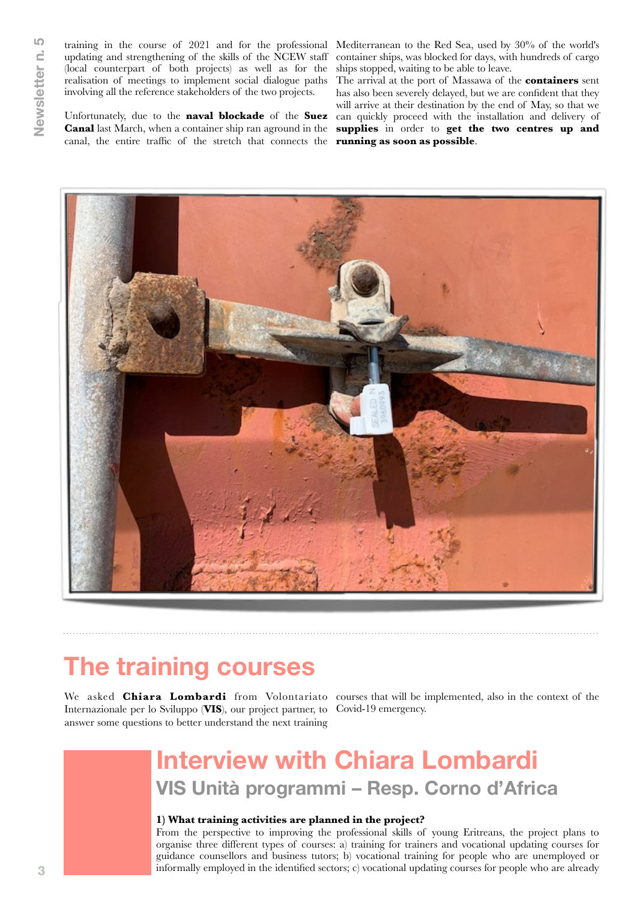training in the course of 2021 and for the professional Mediterranean to the Red Sea, used by 30% of the world's updating and strengthening of the skills of the NCEW staff (local counterpart of both projects) as well as for the realisation of meetings to implement social dialogue paths involving all the reference stakeholders of the two projects.

Unfortunately, due to the **naval blockade** of the **Suez Canal** last March, when a container ship ran aground in the canal, the entire traffic of the stretch that connects the **running as soon as possible**.

container ships, was blocked for days, with hundreds of cargo ships stopped, waiting to be able to leave.

The arrival at the port of Massawa of the **containers** sent has also been severely delayed, but we are confident that they will arrive at their destination by the end of May, so that we can quickly proceed with the installation and delivery of **supplies** in order to **get the two centres up and** 



## **The training courses**

We asked **Chiara Lombardi** from Volontariato courses that will be implemented, also in the context of the Internazionale per lo Sviluppo (**VIS**), our project partner, to Covid-19 emergency. answer some questions to better understand the next training

## **Interview with Chiara Lombardi VIS Unità programmi – Resp. Corno d'Africa**

#### **1) What training activities are planned in the project?**

From the perspective to improving the professional skills of young Eritreans, the project plans to organise three different types of courses: a) training for trainers and vocational updating courses for guidance counsellors and business tutors; b) vocational training for people who are unemployed or informally employed in the identified sectors; c) vocational updating courses for people who are already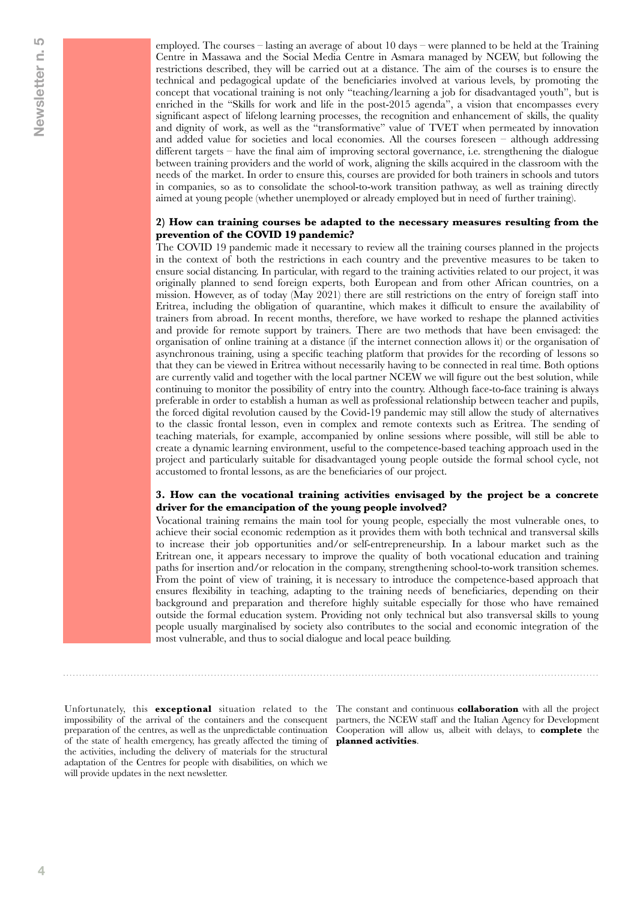employed. The courses – lasting an average of about 10 days – were planned to be held at the Training Centre in Massawa and the Social Media Centre in Asmara managed by NCEW, but following the restrictions described, they will be carried out at a distance. The aim of the courses is to ensure the technical and pedagogical update of the beneficiaries involved at various levels, by promoting the concept that vocational training is not only "teaching/learning a job for disadvantaged youth", but is enriched in the "Skills for work and life in the post-2015 agenda", a vision that encompasses every significant aspect of lifelong learning processes, the recognition and enhancement of skills, the quality and dignity of work, as well as the "transformative" value of TVET when permeated by innovation and added value for societies and local economies. All the courses foreseen – although addressing different targets – have the final aim of improving sectoral governance, i.e. strengthening the dialogue between training providers and the world of work, aligning the skills acquired in the classroom with the needs of the market. In order to ensure this, courses are provided for both trainers in schools and tutors in companies, so as to consolidate the school-to-work transition pathway, as well as training directly aimed at young people (whether unemployed or already employed but in need of further training).

#### **2) How can training courses be adapted to the necessary measures resulting from the prevention of the COVID 19 pandemic?**

The COVID 19 pandemic made it necessary to review all the training courses planned in the projects in the context of both the restrictions in each country and the preventive measures to be taken to ensure social distancing. In particular, with regard to the training activities related to our project, it was originally planned to send foreign experts, both European and from other African countries, on a mission. However, as of today (May 2021) there are still restrictions on the entry of foreign staff into Eritrea, including the obligation of quarantine, which makes it difficult to ensure the availability of trainers from abroad. In recent months, therefore, we have worked to reshape the planned activities and provide for remote support by trainers. There are two methods that have been envisaged: the organisation of online training at a distance (if the internet connection allows it) or the organisation of asynchronous training, using a specific teaching platform that provides for the recording of lessons so that they can be viewed in Eritrea without necessarily having to be connected in real time. Both options are currently valid and together with the local partner NCEW we will figure out the best solution, while continuing to monitor the possibility of entry into the country. Although face-to-face training is always preferable in order to establish a human as well as professional relationship between teacher and pupils, the forced digital revolution caused by the Covid-19 pandemic may still allow the study of alternatives to the classic frontal lesson, even in complex and remote contexts such as Eritrea. The sending of teaching materials, for example, accompanied by online sessions where possible, will still be able to create a dynamic learning environment, useful to the competence-based teaching approach used in the project and particularly suitable for disadvantaged young people outside the formal school cycle, not accustomed to frontal lessons, as are the beneficiaries of our project.

#### **3. How can the vocational training activities envisaged by the project be a concrete driver for the emancipation of the young people involved?**

Vocational training remains the main tool for young people, especially the most vulnerable ones, to achieve their social economic redemption as it provides them with both technical and transversal skills to increase their job opportunities and/or self-entrepreneurship. In a labour market such as the Eritrean one, it appears necessary to improve the quality of both vocational education and training paths for insertion and/or relocation in the company, strengthening school-to-work transition schemes. From the point of view of training, it is necessary to introduce the competence-based approach that ensures flexibility in teaching, adapting to the training needs of beneficiaries, depending on their background and preparation and therefore highly suitable especially for those who have remained outside the formal education system. Providing not only technical but also transversal skills to young people usually marginalised by society also contributes to the social and economic integration of the most vulnerable, and thus to social dialogue and local peace building.

of the state of health emergency, has greatly affected the timing of **planned activities**. the activities, including the delivery of materials for the structural adaptation of the Centres for people with disabilities, on which we will provide updates in the next newsletter.

Unfortunately, this **exceptional** situation related to the The constant and continuous **collaboration** with all the project impossibility of the arrival of the containers and the consequent partners, the NCEW staff and the Italian Agency for Development preparation of the centres, as well as the unpredictable continuation Cooperation will allow us, albeit with delays, to **complete** the